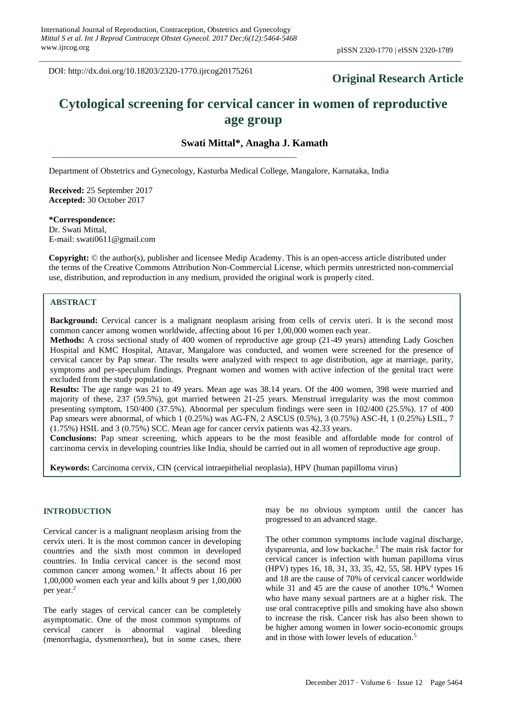DOI: http://dx.doi.org/10.18203/2320-1770.ijrcog20175261

# **Original Research Article**

# **Cytological screening for cervical cancer in women of reproductive age group**

## **Swati Mittal\*, Anagha J. Kamath**

Department of Obstetrics and Gynecology, Kasturba Medical College, Mangalore, Karnataka, India

**Received:** 25 September 2017 **Accepted:** 30 October 2017

**\*Correspondence:** Dr. Swati Mittal, E-mail: swati0611@gmail.com

**Copyright:** © the author(s), publisher and licensee Medip Academy. This is an open-access article distributed under the terms of the Creative Commons Attribution Non-Commercial License, which permits unrestricted non-commercial use, distribution, and reproduction in any medium, provided the original work is properly cited.

## **ABSTRACT**

**Background:** Cervical cancer is a malignant neoplasm arising from cells of cervix uteri. It is the second most common cancer among women worldwide, affecting about 16 per 1,00,000 women each year.

**Methods:** A cross sectional study of 400 women of reproductive age group (21-49 years) attending Lady Goschen Hospital and KMC Hospital, Attavar, Mangalore was conducted, and women were screened for the presence of cervical cancer by Pap smear. The results were analyzed with respect to age distribution, age at marriage, parity, symptoms and per-speculum findings. Pregnant women and women with active infection of the genital tract were excluded from the study population.

**Results:** The age range was 21 to 49 years. Mean age was 38.14 years. Of the 400 women, 398 were married and majority of these, 237 (59.5%), got married between 21-25 years. Menstrual irregularity was the most common presenting symptom, 150/400 (37.5%). Abnormal per speculum findings were seen in 102/400 (25.5%). 17 of 400 Pap smears were abnormal, of which 1 (0.25%) was AG-FN, 2 ASCUS (0.5%), 3 (0.75%) ASC-H, 1 (0.25%) LSIL, 7 (1.75%) HSIL and 3 (0.75%) SCC. Mean age for cancer cervix patients was 42.33 years.

**Conclusions:** Pap smear screening, which appears to be the most feasible and affordable mode for control of carcinoma cervix in developing countries like India, should be carried out in all women of reproductive age group.

**Keywords:** Carcinoma cervix, CIN (cervical intraepithelial neoplasia), HPV (human papilloma virus)

#### **INTRODUCTION**

Cervical cancer is a malignant neoplasm arising from the cervix uteri. It is the most common cancer in developing countries and the sixth most common in developed countries. In India cervical cancer is the second most common cancer among women.<sup>1</sup> It affects about 16 per 1,00,000 women each year and kills about 9 per 1,00,000 per year.<sup>2</sup>

The early stages of cervical cancer can be completely asymptomatic. One of the most common symptoms of cervical cancer is abnormal vaginal bleeding (menorrhagia, dysmenorrhea), but in some cases, there may be no obvious symptom until the cancer has progressed to an advanced stage.

The other common symptoms include vaginal discharge, dyspareunia, and low backache.<sup>3</sup> The main risk factor for cervical cancer is infection with human papilloma virus (HPV) types 16, 18, 31, 33, 35, 42, 55, 58. HPV types 16 and 18 are the cause of 70% of cervical cancer worldwide while 31 and 45 are the cause of another 10%.<sup>4</sup> Women who have many sexual partners are at a higher risk. The use oral contraceptive pills and smoking have also shown to increase the risk. Cancer risk has also been shown to be higher among women in lower socio-economic groups and in those with lower levels of education.<sup>5</sup>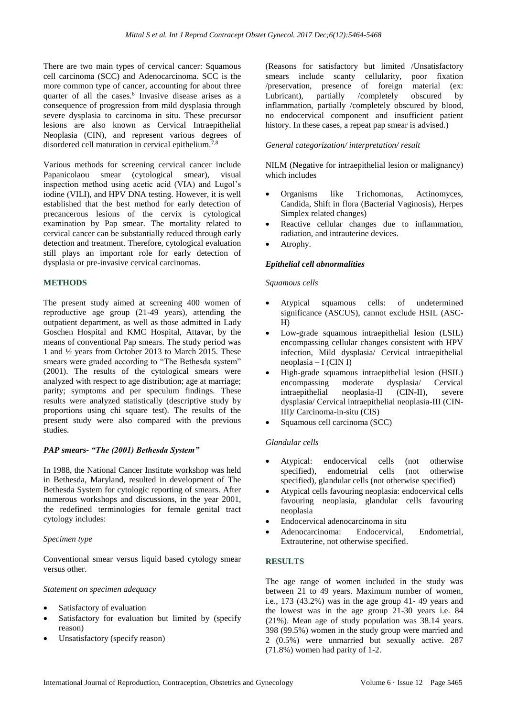There are two main types of cervical cancer: Squamous cell carcinoma (SCC) and Adenocarcinoma. SCC is the more common type of cancer, accounting for about three quarter of all the cases.<sup>6</sup> Invasive disease arises as a consequence of progression from mild dysplasia through severe dysplasia to carcinoma in situ. These precursor lesions are also known as Cervical Intraepithelial Neoplasia (CIN), and represent various degrees of disordered cell maturation in cervical epithelium.7,8

Various methods for screening cervical cancer include Papanicolaou smear (cytological smear), visual inspection method using acetic acid (VIA) and Lugol's iodine (VILI), and HPV DNA testing. However, it is well established that the best method for early detection of precancerous lesions of the cervix is cytological examination by Pap smear. The mortality related to cervical cancer can be substantially reduced through early detection and treatment. Therefore, cytological evaluation still plays an important role for early detection of dysplasia or pre-invasive cervical carcinomas.

#### **METHODS**

The present study aimed at screening 400 women of reproductive age group (21-49 years), attending the outpatient department, as well as those admitted in Lady Goschen Hospital and KMC Hospital, Attavar, by the means of conventional Pap smears. The study period was 1 and ½ years from October 2013 to March 2015. These smears were graded according to "The Bethesda system" (2001). The results of the cytological smears were analyzed with respect to age distribution; age at marriage; parity; symptoms and per speculum findings. These results were analyzed statistically (descriptive study by proportions using chi square test). The results of the present study were also compared with the previous studies.

#### *PAP smears- "The (2001) Bethesda System"*

In 1988, the National Cancer Institute workshop was held in Bethesda, Maryland, resulted in development of The Bethesda System for cytologic reporting of smears. After numerous workshops and discussions, in the year 2001, the redefined terminologies for female genital tract cytology includes:

#### *Specimen type*

Conventional smear versus liquid based cytology smear versus other.

#### *Statement on specimen adequacy*

- Satisfactory of evaluation
- Satisfactory for evaluation but limited by (specify reason)
- Unsatisfactory (specify reason)

(Reasons for satisfactory but limited /Unsatisfactory smears include scanty cellularity, poor fixation /preservation, presence of foreign material (ex: Lubricant), partially /completely obscured by inflammation, partially /completely obscured by blood, no endocervical component and insufficient patient history. In these cases, a repeat pap smear is advised.)

#### *General categorization/ interpretation/ result*

NILM (Negative for intraepithelial lesion or malignancy) which includes

- Organisms like Trichomonas, Actinomyces, Candida, Shift in flora (Bacterial Vaginosis), Herpes Simplex related changes)
- Reactive cellular changes due to inflammation, radiation, and intrauterine devices.
- Atrophy.

#### *Epithelial cell abnormalities*

#### *Squamous cells*

- Atypical squamous cells: of undetermined significance (ASCUS), cannot exclude HSIL (ASC-H)
- Low-grade squamous intraepithelial lesion (LSIL) encompassing cellular changes consistent with HPV infection, Mild dysplasia/ Cervical intraepithelial neoplasia – I (CIN I)
- High-grade squamous intraepithelial lesion (HSIL) encompassing moderate dysplasia/ Cervical intraepithelial neoplasia-II (CIN-II), severe dysplasia/ Cervical intraepithelial neoplasia-III (CIN-III)/ Carcinoma-in-situ (CIS)
- Squamous cell carcinoma (SCC)

#### *Glandular cells*

- Atypical: endocervical cells (not otherwise specified), endometrial cells (not otherwise specified), glandular cells (not otherwise specified)
- Atypical cells favouring neoplasia: endocervical cells favouring neoplasia, glandular cells favouring neoplasia
- Endocervical adenocarcinoma in situ
- Adenocarcinoma: Endocervical, Endometrial, Extrauterine, not otherwise specified.

#### **RESULTS**

The age range of women included in the study was between 21 to 49 years. Maximum number of women, i.e., 173 (43.2%) was in the age group 41- 49 years and the lowest was in the age group 21-30 years i.e. 84 (21%). Mean age of study population was 38.14 years. 398 (99.5%) women in the study group were married and 2 (0.5%) were unmarried but sexually active. 287 (71.8%) women had parity of 1-2.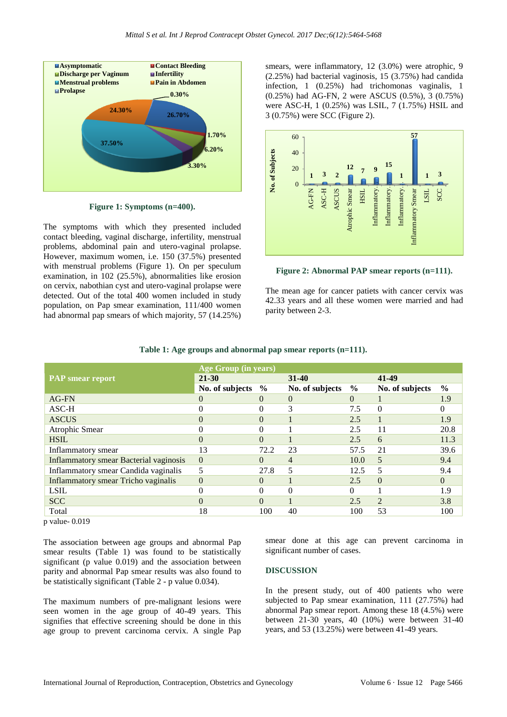

**Figure 1: Symptoms (n=400).**

The symptoms with which they presented included contact bleeding, vaginal discharge, infertility, menstrual problems, abdominal pain and utero-vaginal prolapse. However, maximum women, i.e. 150 (37.5%) presented with menstrual problems (Figure 1). On per speculum examination, in 102 (25.5%), abnormalities like erosion on cervix, nabothian cyst and utero-vaginal prolapse were detected. Out of the total 400 women included in study population, on Pap smear examination, 111/400 women had abnormal pap smears of which majority, 57 (14.25%)

smears, were inflammatory, 12 (3.0%) were atrophic, 9 (2.25%) had bacterial vaginosis, 15 (3.75%) had candida infection, 1 (0.25%) had trichomonas vaginalis, 1 (0.25%) had AG-FN, 2 were ASCUS (0.5%), 3 (0.75%) were ASC-H, 1 (0.25%) was LSIL, 7 (1.75%) HSIL and 3 (0.75%) were SCC (Figure 2).



**Figure 2: Abnormal PAP smear reports (n=111).**

The mean age for cancer patiets with cancer cervix was 42.33 years and all these women were married and had parity between 2-3.

|                                               | <b>Age Group (in years)</b> |               |                 |               |                 |               |
|-----------------------------------------------|-----------------------------|---------------|-----------------|---------------|-----------------|---------------|
| <b>PAP</b> smear report                       | $21 - 30$                   |               | $31 - 40$       |               | 41-49           |               |
|                                               | No. of subjects             | $\frac{6}{9}$ | No. of subjects | $\frac{6}{9}$ | No. of subjects | $\frac{6}{9}$ |
| AG-FN                                         | $\theta$                    | $\Omega$      | $\Omega$        | $\Omega$      |                 | 1.9           |
| $ASC-H$                                       | 0                           |               | 3               | 7.5           | $\Omega$        |               |
| <b>ASCUS</b>                                  | $\Omega$                    | $\Omega$      |                 | 2.5           |                 | 1.9           |
| Atrophic Smear                                | 0                           |               |                 | 2.5           | 11              | 20.8          |
| <b>HSIL</b>                                   | $\Omega$                    | $\Omega$      |                 | 2.5           | 6               | 11.3          |
| Inflammatory smear                            | 13                          | 72.2          | 23              | 57.5          | 21              | 39.6          |
| <b>Inflammatory smear Bacterial vaginosis</b> | $\theta$                    | $\Omega$      | 4               | 10.0          | 5               | 9.4           |
| Inflammatory smear Candida vaginalis          | 5                           | 27.8          | 5               | 12.5          | 5               | 9.4           |
| <b>Inflammatory smear Tricho vaginalis</b>    | $\theta$                    | $\Omega$      |                 | 2.5           | $\Omega$        | $\Omega$      |
| <b>LSIL</b>                                   | 0                           | $\Omega$      | $\Omega$        | 0             |                 | 1.9           |
| <b>SCC</b>                                    | $\Omega$                    | $\Omega$      |                 | 2.5           | $\mathfrak{D}$  | 3.8           |
| Total                                         | 18                          | 100           | 40              | 100           | 53              | 100           |

#### **Table 1: Age groups and abnormal pap smear reports (n=111).**

p value- 0.019

The association between age groups and abnormal Pap smear results (Table 1) was found to be statistically significant (p value 0.019) and the association between parity and abnormal Pap smear results was also found to be statistically significant (Table 2 - p value 0.034).

The maximum numbers of pre-malignant lesions were seen women in the age group of 40-49 years. This signifies that effective screening should be done in this age group to prevent carcinoma cervix. A single Pap

smear done at this age can prevent carcinoma in significant number of cases.

#### **DISCUSSION**

In the present study, out of 400 patients who were subjected to Pap smear examination, 111 (27.75%) had abnormal Pap smear report. Among these 18 (4.5%) were between 21-30 years, 40 (10%) were between 31-40 years, and 53 (13.25%) were between 41-49 years.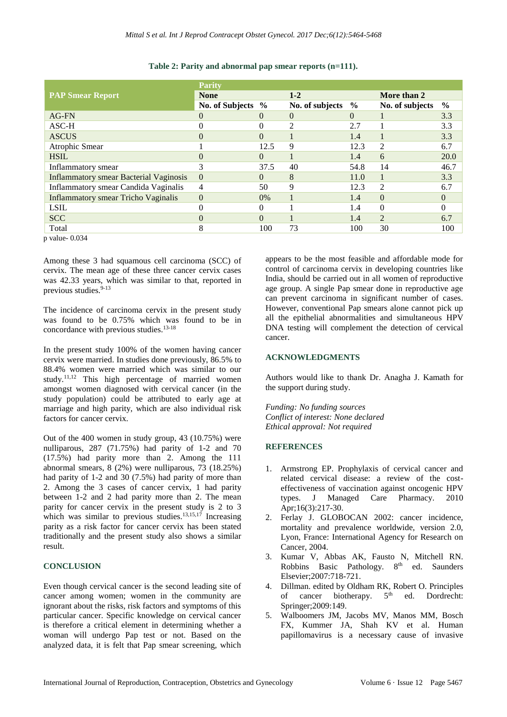|                                            | <b>Parity</b>     |          |                 |               |                 |      |  |
|--------------------------------------------|-------------------|----------|-----------------|---------------|-----------------|------|--|
| <b>PAP Smear Report</b>                    | <b>None</b>       |          | $1 - 2$         |               | More than 2     |      |  |
|                                            | No. of Subjects % |          | No. of subjects | $\frac{6}{9}$ | No. of subjects | $\%$ |  |
| AG-FN                                      | $\Omega$          | $\Omega$ | $\Omega$        | $\theta$      |                 | 3.3  |  |
| $ASC-H$                                    | 0                 | $\Omega$ | っ               | 2.7           |                 | 3.3  |  |
| <b>ASCUS</b>                               | 0                 | $\Omega$ |                 | 1.4           |                 | 3.3  |  |
| Atrophic Smear                             |                   | 12.5     | 9               | 12.3          | $\overline{c}$  | 6.7  |  |
| <b>HSIL</b>                                | $\Omega$          | $\Omega$ |                 | 1.4           | 6               | 20.0 |  |
| Inflammatory smear                         | 3                 | 37.5     | 40              | 54.8          | 14              | 46.7 |  |
| Inflammatory smear Bacterial Vaginosis     | $\Omega$          | $\Omega$ | 8               | 11.0          |                 | 3.3  |  |
| Inflammatory smear Candida Vaginalis       | 4                 | 50       | 9               | 12.3          | 2               | 6.7  |  |
| <b>Inflammatory smear Tricho Vaginalis</b> | $\Omega$          | $0\%$    |                 | 1.4           | $\Omega$        | 0    |  |
| <b>LSIL</b>                                |                   |          |                 | 1.4           | $\Omega$        |      |  |
| <b>SCC</b>                                 | 0                 | $\Omega$ |                 | 1.4           | $\overline{2}$  | 6.7  |  |
| Total<br>$\sim$ $\sim$ $\sim$ $\sim$       | 8                 | 100      | 73              | 100           | 30              | 100  |  |

#### **Table 2: Parity and abnormal pap smear reports (n=111).**

p value- 0.034

Among these 3 had squamous cell carcinoma (SCC) of cervix. The mean age of these three cancer cervix cases was 42.33 years, which was similar to that, reported in previous studies. 9-13

The incidence of carcinoma cervix in the present study was found to be 0.75% which was found to be in concordance with previous studies. 13-18

In the present study 100% of the women having cancer cervix were married. In studies done previously, 86.5% to 88.4% women were married which was similar to our study.<sup>11,12</sup> This high percentage of married women amongst women diagnosed with cervical cancer (in the study population) could be attributed to early age at marriage and high parity, which are also individual risk factors for cancer cervix.

Out of the 400 women in study group, 43 (10.75%) were nulliparous, 287 (71.75%) had parity of 1-2 and 70 (17.5%) had parity more than 2. Among the 111 abnormal smears, 8 (2%) were nulliparous, 73 (18.25%) had parity of 1-2 and 30 (7.5%) had parity of more than 2. Among the 3 cases of cancer cervix, 1 had parity between 1-2 and 2 had parity more than 2. The mean parity for cancer cervix in the present study is 2 to 3 which was similar to previous studies.<sup>13,15,17</sup> Increasing parity as a risk factor for cancer cervix has been stated traditionally and the present study also shows a similar result.

#### **CONCLUSION**

Even though cervical cancer is the second leading site of cancer among women; women in the community are ignorant about the risks, risk factors and symptoms of this particular cancer. Specific knowledge on cervical cancer is therefore a critical element in determining whether a woman will undergo Pap test or not. Based on the analyzed data, it is felt that Pap smear screening, which appears to be the most feasible and affordable mode for control of carcinoma cervix in developing countries like India, should be carried out in all women of reproductive age group. A single Pap smear done in reproductive age can prevent carcinoma in significant number of cases. However, conventional Pap smears alone cannot pick up all the epithelial abnormalities and simultaneous HPV DNA testing will complement the detection of cervical cancer.

#### **ACKNOWLEDGMENTS**

Authors would like to thank Dr. Anagha J. Kamath for the support during study.

*Funding: No funding sources Conflict of interest: None declared Ethical approval: Not required*

#### **REFERENCES**

- 1. Armstrong EP. Prophylaxis of cervical cancer and related cervical disease: a review of the costeffectiveness of vaccination against oncogenic HPV types. J Managed Care Pharmacy. 2010 Apr;16(3):217-30.
- 2. Ferlay J. GLOBOCAN 2002: cancer incidence, mortality and prevalence worldwide, version 2.0, Lyon, France: International Agency for Research on Cancer, 2004.
- 3. Kumar V, Abbas AK, Fausto N, Mitchell RN. Robbins Basic Pathology.  $8<sup>th</sup>$  ed. Saunders Elsevier;2007:718-721.
- 4. Dillman. edited by Oldham RK, Robert O. Principles of cancer biotherapy.  $5<sup>th</sup>$  ed. Dordrecht: Springer;2009:149.
- 5. Walboomers JM, Jacobs MV, Manos MM, Bosch FX, Kummer JA, Shah KV et al. Human papillomavirus is a necessary cause of invasive